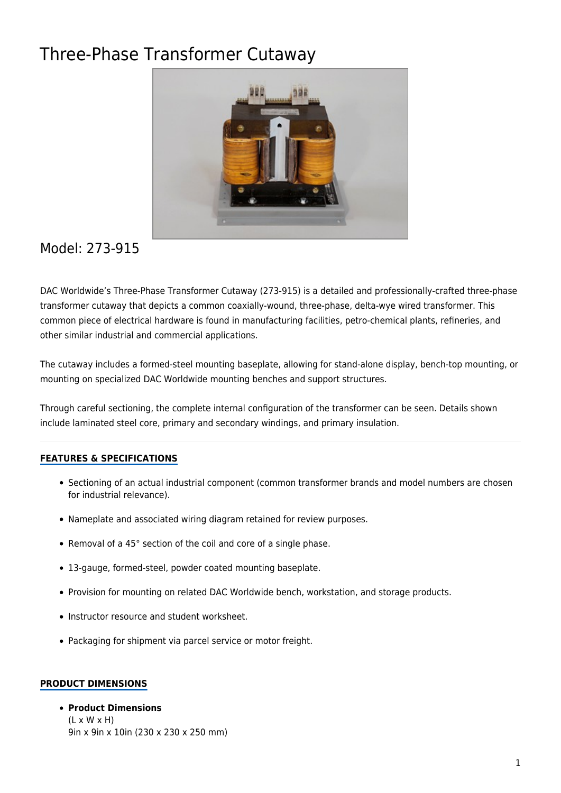# Three-Phase Transformer Cutaway



# Model: 273-915

DAC Worldwide's Three-Phase Transformer Cutaway (273-915) is a detailed and professionally-crafted three-phase transformer cutaway that depicts a common coaxially-wound, three-phase, delta-wye wired transformer. This common piece of electrical hardware is found in manufacturing facilities, petro-chemical plants, refineries, and other similar industrial and commercial applications.

The cutaway includes a formed-steel mounting baseplate, allowing for stand-alone display, bench-top mounting, or mounting on specialized DAC Worldwide mounting benches and support structures.

Through careful sectioning, the complete internal configuration of the transformer can be seen. Details shown include laminated steel core, primary and secondary windings, and primary insulation.

### **FEATURES & SPECIFICATIONS**

- Sectioning of an actual industrial component (common transformer brands and model numbers are chosen for industrial relevance).
- Nameplate and associated wiring diagram retained for review purposes.
- Removal of a 45° section of the coil and core of a single phase.
- 13-gauge, formed-steel, powder coated mounting baseplate.
- Provision for mounting on related DAC Worldwide bench, workstation, and storage products.
- Instructor resource and student worksheet.
- Packaging for shipment via parcel service or motor freight.

#### **PRODUCT DIMENSIONS**

#### **Product Dimensions**  $(L \times W \times H)$

9in x 9in x 10in (230 x 230 x 250 mm)